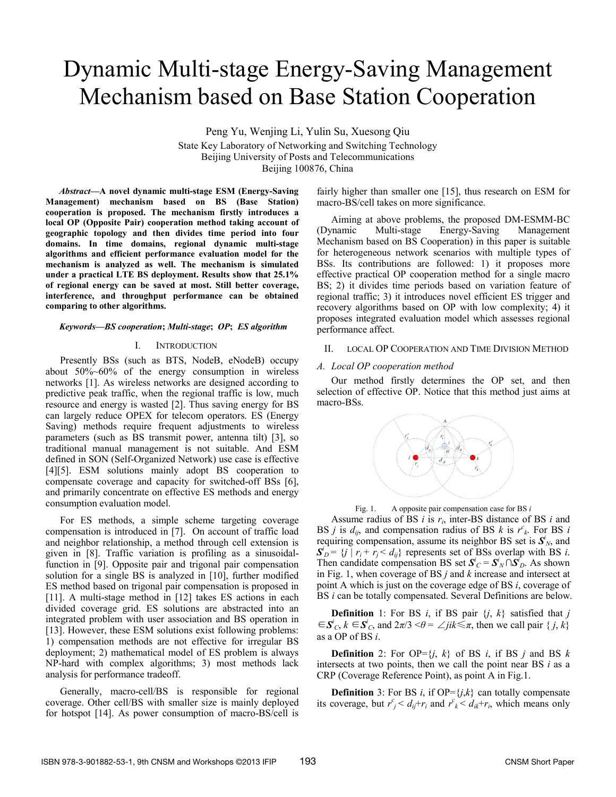# Dynamic Multi-stage Energy-Saving Management Mechanism based on Base Station Cooperation

Peng Yu, Wenjing Li, Yulin Su, Xuesong Qiu State Key Laboratory of Networking and Switching Technology

Beijing University of Posts and Telecommunications

Beijing 100876, China

*Abstract***—A novel dynamic multi-stage ESM (Energy-Saving Management) mechanism based on BS (Base Station) cooperation is proposed. The mechanism firstly introduces a local OP (Opposite Pair) cooperation method taking account of geographic topology and then divides time period into four domains. In time domains, regional dynamic multi-stage algorithms and efficient performance evaluation model for the mechanism is analyzed as well. The mechanism is simulated under a practical LTE BS deployment. Results show that 25.1% of regional energy can be saved at most. Still better coverage, interference, and throughput performance can be obtained comparing to other algorithms.**

# *Keywords—BS cooperation***;** *Multi-stage***;** *OP***;** *ES algorithm*

#### I. INTRODUCTION

Presently BSs (such as BTS, NodeB, eNodeB) occupy about 50%~60% of the energy consumption in wireless networks [1]. As wireless networks are designed according to predictive peak traffic, when the regional traffic is low, much resource and energy is wasted [2]. Thus saving energy for BS can largely reduce OPEX for telecom operators. ES (Energy Saving) methods require frequent adjustments to wireless parameters (such as BS transmit power, antenna tilt) [3], so traditional manual management is not suitable. And ESM defined in SON (Self-Organized Network) use case is effective [4][5]. ESM solutions mainly adopt BS cooperation to compensate coverage and capacity for switched-off BSs [6], and primarily concentrate on effective ES methods and energy consumption evaluation model.

For ES methods, a simple scheme targeting coverage compensation is introduced in [7]. On account of traffic load and neighbor relationship, a method through cell extension is given in [8]. Traffic variation is profiling as a sinusoidalfunction in [9]. Opposite pair and trigonal pair compensation solution for a single BS is analyzed in [10], further modified ES method based on trigonal pair compensation is proposed in [11]. A multi-stage method in [12] takes ES actions in each divided coverage grid. ES solutions are abstracted into an integrated problem with user association and BS operation in [13]. However, these ESM solutions exist following problems: 1) compensation methods are not effective for irregular BS deployment; 2) mathematical model of ES problem is always NP-hard with complex algorithms; 3) most methods lack analysis for performance tradeoff.

Generally, macro-cell/BS is responsible for regional coverage. Other cell/BS with smaller size is mainly deployed for hotspot [14]. As power consumption of macro-BS/cell is

fairly higher than smaller one [15], thus research on ESM for macro-BS/cell takes on more significance.

Aiming at above problems, the proposed DM-ESMM-BC (Dynamic Multi-stage Energy-Saving Management Mechanism based on BS Cooperation) in this paper is suitable for heterogeneous network scenarios with multiple types of BSs. Its contributions are followed: 1) it proposes more effective practical OP cooperation method for a single macro BS; 2) it divides time periods based on variation feature of regional traffic; 3) it introduces novel efficient ES trigger and recovery algorithms based on OP with low complexity; 4) it proposes integrated evaluation model which assesses regional performance affect.

## II. LOCAL OP COOPERATION AND TIME DIVISION METHOD

#### *A. Local OP cooperation method*

Our method firstly determines the OP set, and then selection of effective OP. Notice that this method just aims at macro-BSs.



Fig. 1. A opposite pair compensation case for BS *i*

Assume radius of BS *i* is *ri*, inter-BS distance of BS *i* and BS *j* is  $d_{ij}$ , and compensation radius of BS *k* is  $r^c_k$ . For BS *i* requiring compensation, assume its neighbor BS set is  $S_N^i$ , and  $S^i_D = \{ j | r_i + r_j < d_{ij} \}$  represents set of BSs overlap with BS *i*. Then candidate compensation BS set  $S^i_C = S^i_N \cap S^i_D$ . As shown in Fig. 1, when coverage of BS *j* and *k* increase and intersect at point A which is just on the coverage edge of BS *i*, coverage of BS *i* can be totally compensated. Several Definitions are below.

**Definition** 1: For BS *i*, if BS pair  $\{j, k\}$  satisfied that *j*  $\in$  *S<sup><i>i*</sup></sup>C,  $k \in$  *S<sup><i>i*</sup>C, and 2 $\pi$ /3 < θ = ∠*jik* ≤  $\pi$ , then we call pair {*j*, *k*} as a OP of BS *i*.

**Definition** 2: For OP= $\{j, k\}$  of BS *i*, if BS *j* and BS *k* intersects at two points, then we call the point near BS *i* as a CRP (Coverage Reference Point), as point A in Fig.1.

**Definition** 3: For BS *i*, if OP= $\{j,k\}$  can totally compensate its coverage, but  $r_f^c < d_{ij} + r_i$  and  $r_f^c < d_{ik} + r_i$ , which means only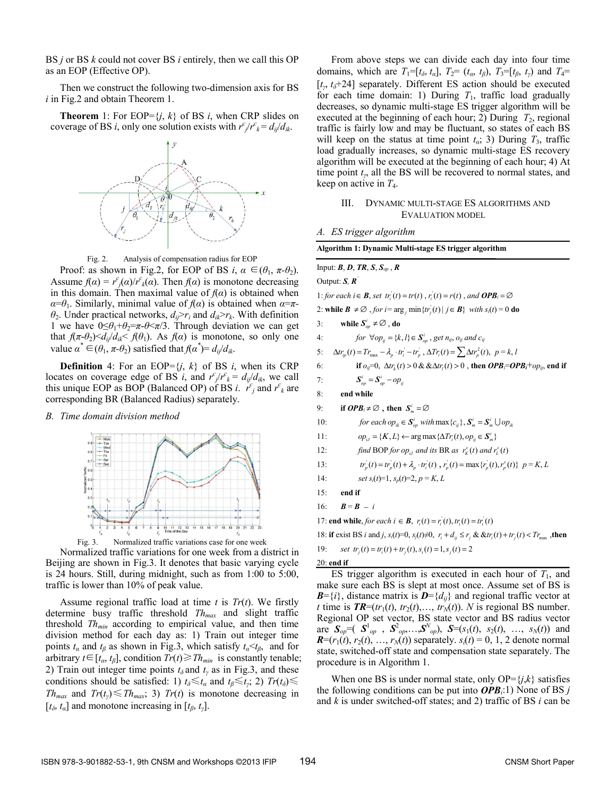BS *j* or BS *k* could not cover BS *i* entirely, then we call this OP as an EOP (Effective OP).

Then we construct the following two-dimension axis for BS *i* in Fig.2 and obtain Theorem 1.

**Theorem** 1: For EOP= $\{j, k\}$  of BS *i*, when CRP slides on coverage of BS *i*, only one solution exists with  $r^c / r^c = d_{ij}/d_{ik}$ .





Proof: as shown in Fig.2, for EOP of BS  $i, \alpha \in (\theta_1, \pi \theta_2)$ . Assume  $f(\alpha) = r^c_j(\alpha)/r^c_k(\alpha)$ . Then  $f(\alpha)$  is monotone decreasing in this domain. Then maximal value of  $f(\alpha)$  is obtained when *α*=*θ*<sub>1</sub>. Similarly, minimal value of  $f(\alpha)$  is obtained when  $\alpha = \pi$ - $\theta_2$ . Under practical networks,  $d_i \rightarrow r_i$  and  $d_i \rightarrow r_k$ . With definition 1 we have  $0 \le \theta_1 + \theta_2 = \pi - \theta \le \pi/3$ . Through deviation we can get that  $f(\pi-\theta_2) \le d_{ii}/d_{ik} \le f(\theta_1)$ . As  $f(\alpha)$  is monotone, so only one value  $\alpha^* \in (\theta_1, \pi \cdot \theta_2)$  satisfied that  $f(\alpha^*) = d_{ij}/d_{ik}$ .

**Definition** 4: For an EOP= $\{j, k\}$  of BS *i*, when its CRP locates on coverage edge of BS *i*, and  $r^c / r^c = d_{ij}/d_{ik}$ , we call this unique EOP as BOP (Balanced OP) of BS *i*.  $r_f^c$  and  $r_k^c$  are corresponding BR (Balanced Radius) separately.

# *B. Time domain division method*





Normalized traffic variations for one week from a district in Beijing are shown in Fig.3. It denotes that basic varying cycle is 24 hours. Still, during midnight, such as from 1:00 to 5:00, traffic is lower than 10% of peak value.

Assume regional traffic load at time *t* is *Tr*(*t*). We firstly determine busy traffic threshold *Thmax* and slight traffic threshold *Th<sub>min</sub>* according to empirical value, and then time division method for each day as: 1) Train out integer time points  $t_\alpha$  and  $t_\beta$  as shown in Fig.3, which satisfy  $t_\alpha < t_\beta$ , and for arbitrary  $t \in [t_{\alpha}, t_{\beta}]$ , condition  $Tr(t) \geq Th_{min}$  is constantly tenable; 2) Train out integer time points  $t_{\delta}$  and  $t_{\gamma}$  as in Fig.3, and these conditions should be satisfied: 1)  $t_{\delta} \leq t_{\alpha}$  and  $t_{\beta} \leq t_{\gamma}$ ; 2)  $Tr(t_{\delta}) \leq$ *Th<sub>max</sub>* and *Tr*(*t<sub><i>γ*</sub>) ≤ *Th<sub>max</sub>*; 3) *Tr*(*t*) is monotone decreasing in  $[t_{\delta}, t_{\alpha}]$  and monotone increasing in  $[t_{\beta}, t_{\gamma}]$ .

From above steps we can divide each day into four time domains, which are  $T_1 = [t_\delta, t_\alpha]$ ,  $T_2 = (t_\alpha, t_\beta)$ ,  $T_3 = [t_\beta, t_\gamma)$  and  $T_4 =$  $[t<sub>y</sub>, t<sub>δ</sub>+24]$  separately. Different ES action should be executed for each time domain: 1) During  $T_1$ , traffic load gradually decreases, so dynamic multi-stage ES trigger algorithm will be executed at the beginning of each hour; 2) During  $T_2$ , regional traffic is fairly low and may be fluctuant, so states of each BS will keep on the status at time point  $t_a$ ; 3) During  $T_3$ , traffic load gradually increases, so dynamic multi-stage ES recovery algorithm will be executed at the beginning of each hour; 4) At time point *tγ*, all the BS will be recovered to normal states, and keep on active in *T*4.

# III. DYNAMIC MULTI-STAGE ES ALGORITHMS AND EVALUATION MODEL

|  |  | A. ES trigger algorithm |
|--|--|-------------------------|
|  |  |                         |

| A.<br>ES trigger algorithm                                                                                                                                |  |  |  |  |
|-----------------------------------------------------------------------------------------------------------------------------------------------------------|--|--|--|--|
| Algorithm 1: Dynamic Multi-stage ES trigger algorithm                                                                                                     |  |  |  |  |
| Input: $B, D, TR, S, S_{op}, R$                                                                                                                           |  |  |  |  |
| Output: $S, R$                                                                                                                                            |  |  |  |  |
| 1: for each $i \in \mathbf{B}$ , set $tr_i^i(t) = tr(t)$ , $r_i^i(t) = r(t)$ , and <b>OPB</b> <sub>i</sub> = $\varnothing$                                |  |  |  |  |
| 2: while $\mathbf{B} \neq \emptyset$ , for $i = \arg_j \min \{ tr_j'(t)   j \in \mathbf{B} \}$ with $s_i(t) = 0$ do                                       |  |  |  |  |
| while $S_{on}^{\prime} \neq \emptyset$ , do<br>3:                                                                                                         |  |  |  |  |
| for $\forall op_{ii} = \{k, l\} \in S_{on}^i$ , get $n_{ii}$ , $o_{ii}$ and $c_{ii}$<br>4:                                                                |  |  |  |  |
| $\Delta tr_{in}(t) = Tr_{max} - \lambda_n \cdot tr_i - tr_n, \ \Delta Tr_i(t) = \sum \Delta tr_n^2(t), \ \ p = k, l$<br>5:                                |  |  |  |  |
| if $o_{ij}=0$ , $\Delta tr_k(t) > 0$ & $\&\Delta tr_i(t) > 0$ , then $OPB_i=OPB_i+op_{ij}$ , end if<br>6:                                                 |  |  |  |  |
| $S_{op}^i = S_{op}^i - op_{ii}$<br>7:                                                                                                                     |  |  |  |  |
| 8:<br>end while                                                                                                                                           |  |  |  |  |
| if $OPB_i \neq \emptyset$ , then $S_m^i = \emptyset$<br>9:                                                                                                |  |  |  |  |
| for each $op_{ik} \in S_{op}^i$ with $\max\{c_{ij}\}, S_{m}^i = S_{m}^i \bigcup op_{ik}$<br>10:                                                           |  |  |  |  |
| $op_{i,l} = \{K, L\} \leftarrow \arg \max \{ \Delta Tr_i(t), op_{ii} \in S_m^i \}$<br>11:                                                                 |  |  |  |  |
| find BOP for op <sub>il</sub> and its BR as $r_k^c(t)$ and $r_l^c(t)$<br>12:                                                                              |  |  |  |  |
| $tr_p(t) = tr_p(t) + \lambda_p \cdot tr_p(t)$ , $r_p(t) = \max\{r_p(t), r_p(t)\}\, p = K, L$<br>13:                                                       |  |  |  |  |
| set $s_i(t)=1$ , $s_n(t)=2$ , $p = K, L$<br>14:                                                                                                           |  |  |  |  |
| 15:<br>end if                                                                                                                                             |  |  |  |  |
| $B = B - i$<br>16:                                                                                                                                        |  |  |  |  |
| 17: end while, for each $i \in B$ , $r_i(t) = r_i(t)$ , $tr_i(t) = tr_i(t)$                                                                               |  |  |  |  |
| 18: if exist BS <i>i</i> and <i>j</i> , $s_i(t)=0$ , $s_j(t)\neq 0$ , $r_i + d_{ij} \leq r_j$ & &tr <sub>i</sub> $(t) + tr_j(t) < Tr_{\text{max}}$ , then |  |  |  |  |
| set $tr_i(t) = tr_i(t) + tr_i(t), s_i(t) = 1, s_i(t) = 2$<br>19:                                                                                          |  |  |  |  |
| 20: end if<br>$\rightarrow$ . $\rightarrow$<br>$\mathbf{I}$                                                                                               |  |  |  |  |

ES trigger algorithm is executed in each hour of  $T_1$ , and make sure each BS is slept at most once. Assume set of BS is  $\mathbf{B} = \{i\}$ , distance matrix is  $\mathbf{D} = \{d_{ij}\}\$ and regional traffic vector at *t* time is  $TR=(tr_1(t), tr_2(t), \ldots, tr_N(t))$ . *N* is regional BS number. Regional OP set vector, BS state vector and BS radius vector are  $S_{op}=(S^1_{op}, S^2_{op}, \ldots, S^N_{op}), S=(s_1(t), s_2(t), \ldots, s_N(t))$  and  $R=(r_1(t), r_2(t), ..., r_N(t))$  separately.  $s_i(t) = 0, 1, 2$  denote normal state, switched-off state and compensation state separately. The procedure is in Algorithm 1.

When one BS is under normal state, only  $OP = \{j,k\}$  satisfies the following conditions can be put into *OPBi*:1) None of BS *j* and *k* is under switched-off states; and 2) traffic of BS *i* can be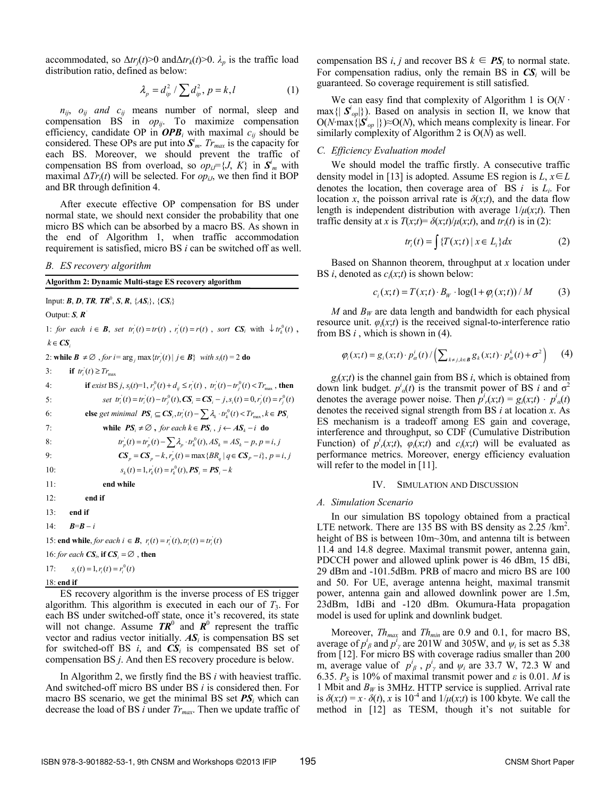accommodated, so  $\Delta tr_i(t) > 0$  and  $\Delta tr_k(t) > 0$ .  $\lambda_p$  is the traffic load distribution ratio, defined as below:

$$
\lambda_p = d_{ip}^2 / \sum d_{ip}^2, p = k, l \tag{1}
$$

 $n_{ij}$ ,  $o_{ij}$  *and*  $c_{ij}$  means number of normal, sleep and compensation BS in  $op_{ij}$ . To maximize compensation efficiency, candidate OP in  $OPB_i$  with maximal  $c_{ij}$  should be considered. These OPs are put into  $S<sup>i</sup><sub>m</sub>$ . *Tr<sub>max</sub>* is the capacity for each BS. Moreover, we should prevent the traffic of compensation BS from overload, so  $op_{i}F\{J, K\}$  in  $S<sup>i</sup><sub>m</sub>$  with maximal  $\Delta Tr_i(t)$  will be selected. For  $op_{i,j}$ , we then find it BOP and BR through definition 4.

After execute effective OP compensation for BS under normal state, we should next consider the probability that one micro BS which can be absorbed by a macro BS. As shown in the end of Algorithm 1, when traffic accommodation requirement is satisfied, micro BS *i* can be switched off as well.

*B. ES recovery algorithm* 

| Algorithm 2: Dynamic Multi-stage ES recovery algorithm                                                                |
|-----------------------------------------------------------------------------------------------------------------------|
| Input: B, D, TR, TR <sup>0</sup> , S, R, {AS <sub>i</sub> }, {CS <sub>i</sub> }                                       |
| Output: $S, R$                                                                                                        |
| 1: for each $i \in B$ , set $tr_i(t) = tr(t)$ , $r_i(t) = r(t)$ , sort $CS_i$ with $\downarrow tr_i^0(t)$ ,           |
| $k \in \mathbb{C}S$                                                                                                   |
| 2: while $\mathbf{B} \neq \emptyset$ , for $i = \arg_i \max \{ tr_i(t)   j \in \mathbf{B} \}$ with $s_i(t) = 2$ do    |
| if $tr_i(t) \geq Tr_{\text{max}}$<br>3:                                                                               |
| if exist BS j, $s_j(t)=1$ , $r_i^0(t) + d_{ij} \le r_i^0(t)$ , $tr_i^0(t) - tr_i^0(t) < Tr_{max}$ , then<br>4:        |
| set $tr_i(t) = tr_i(t) - tr_i^0(t)$ , $CS_i = CS_i - j$ , $s_i(t) = 0$ , $r_i(t) = r_i^0(t)$<br>5:                    |
| else get minimal $PS_i \subseteq CS_i$ , $tr_i(t) - \sum_i \lambda_k \cdot tr_k^0(t) < Tr_{max}$ , $k \in PS_i$<br>6: |
| while $PS_i \neq \emptyset$ , for each $k \in PS_i$ , $j \leftarrow AS_k - i$ do<br>7:                                |
| $tr_n(t) = tr_n(t) - \sum A_n \cdot tr_k^0(t), AS_k = AS_k - p, p = i, j$<br>8:                                       |
| $CS_n = CS_n - k, r_n(t) = \max\{BR_n   q \in CS_p - i\}, p = i, j$<br>9:                                             |
| $s_i(t) = 1, r_i(t) = r_i^{0}(t), PS_i = PS_i - k$<br>10:                                                             |
| 11:<br>end while                                                                                                      |
| 12:<br>end if                                                                                                         |
| 13:<br>end if                                                                                                         |
| 14:<br>$B = B - i$                                                                                                    |
| 15: <b>end while</b> , for each $i \in B$ , $r_i(t) = r_i(t)$ , $tr_i(t) = tr_i(t)$                                   |
| 16: for each $CS_i$ , if $CS_i = \emptyset$ , then                                                                    |
| $s_i(t) = 1, r_i(t) = r_i^0(t)$<br>17:                                                                                |
| $18:$ end if                                                                                                          |

ES recovery algorithm is the inverse process of ES trigger algorithm. This algorithm is executed in each our of  $T_3$ . For each BS under switched-off state, once it's recovered, its state will not change. Assume  $TR^0$  and  $R^0$  represent the traffic vector and radius vector initially.  $A S_i$  is compensation BS set for switched-off BS *i*, and *CSi* is compensated BS set of compensation BS *j*. And then ES recovery procedure is below.

In Algorithm 2, we firstly find the BS *i* with heaviest traffic. And switched-off micro BS under BS *i* is considered then. For macro BS scenario, we get the minimal BS set *PSi* which can decrease the load of BS *i* under *Trmax*. Then we update traffic of

compensation BS *i*, *j* and recover BS  $k \in PS$  *i* to normal state. For compensation radius, only the remain BS in  $CS_i$  will be guaranteed. So coverage requirement is still satisfied.

We can easy find that complexity of Algorithm 1 is  $O(N \cdot$ max { $\mathbf{S}^i_{op}$ }). Based on analysis in section II, we know that O(*N*·max $\{|\mathbf{S}^i_{op}|\}\right) \approx O(N)$ , which means complexity is linear. For similarly complexity of Algorithm 2 is O(*N*) as well.

#### *C. Efficiency Evaluation model*

We should model the traffic firstly. A consecutive traffic density model in [13] is adopted. Assume ES region is  $L, x \in L$ denotes the location, then coverage area of BS *i* is *Li*. For location *x*, the poisson arrival rate is  $\delta(x;t)$ , and the data flow length is independent distribution with average  $1/\mu(x;t)$ . Then traffic density at *x* is  $T(x;t) = \delta(x;t)/\mu(x;t)$ , and  $tr_i(t)$  is in (2):

$$
tr_i(t) = \int \{T(x;t) \mid x \in L_i\} dx \tag{2}
$$

Based on Shannon theorem, throughput at *x* location under BS *i*, denoted as  $c_i(x;t)$  is shown below:

$$
c_i(x;t) = T(x;t) \cdot B_W \cdot \log(1 + \varphi_i(x;t)) / M \tag{3}
$$

*M* and  $B_W$  are data length and bandwidth for each physical resource unit.  $\varphi_i(x;t)$  is the received signal-to-interference ratio from BS *i* , which is shown in (4).

$$
\varphi_i(x;t) = g_i(x;t) \cdot p_\alpha^i(t) / \left( \sum_{k \neq j, k \in B} g_k(x;t) \cdot p_\alpha^k(t) + \sigma^2 \right) \tag{4}
$$

 $g_i(x;t)$  is the channel gain from BS *i*, which is obtained from down link budget.  $p^i_{\alpha}(t)$  is the transmit power of BS *i* and  $\sigma^2$ denotes the average power noise. Then  $p^i_r(x;t) = g_i(x;t) \cdot p^i_a(t)$ denotes the received signal strength from BS *i* at location *x*. As ES mechanism is a tradeoff among ES gain and coverage, interference and throughput, so CDF (Cumulative Distribution Function) of  $p^i_r(x;t)$ ,  $\varphi_i(x;t)$  and  $c_i(x;t)$  will be evaluated as performance metrics. Moreover, energy efficiency evaluation will refer to the model in [11].

#### IV. SIMULATION AND DISCUSSION

# *A. Simulation Scenario*

In our simulation BS topology obtained from a practical LTE network. There are  $135\overline{BS}$  with BS density as  $2.25$  /km<sup>2</sup>. height of BS is between 10m~30m, and antenna tilt is between 11.4 and 14.8 degree. Maximal transmit power, antenna gain, PDCCH power and allowed uplink power is 46 dBm, 15 dBi, 29 dBm and -101.5dBm. PRB of macro and micro BS are 100 and 50. For UE, average antenna height, maximal transmit power, antenna gain and allowed downlink power are 1.5m, 23dBm, 1dBi and -120 dBm. Okumura-Hata propagation model is used for uplink and downlink budget.

Moreover, *Th<sub>max</sub>* and *Th<sub>min</sub>* are 0.9 and 0.1, for macro BS, average of  $p^i_{\beta}$  and  $p^j_{\gamma}$  are 201W and 305W, and  $\psi_i$  is set as 5.38 from [12]. For micro BS with coverage radius smaller than 200 m, average value of  $p^i_{\beta}$ ,  $p^i_{\gamma}$  and  $\psi_i$  are 33.7 W, 72.3 W and 6.35.  $P_s$  is 10% of maximal transmit power and  $\varepsilon$  is 0.01. *M* is 1 Mbit and  $B_W$  is 3MHz. HTTP service is supplied. Arrival rate is  $\delta(x;t) = x \cdot \delta(t)$ , *x* is 10<sup>-4</sup> and  $1/\mu(x;t)$  is 100 kbyte. We call the method in [12] as TESM, though it's not suitable for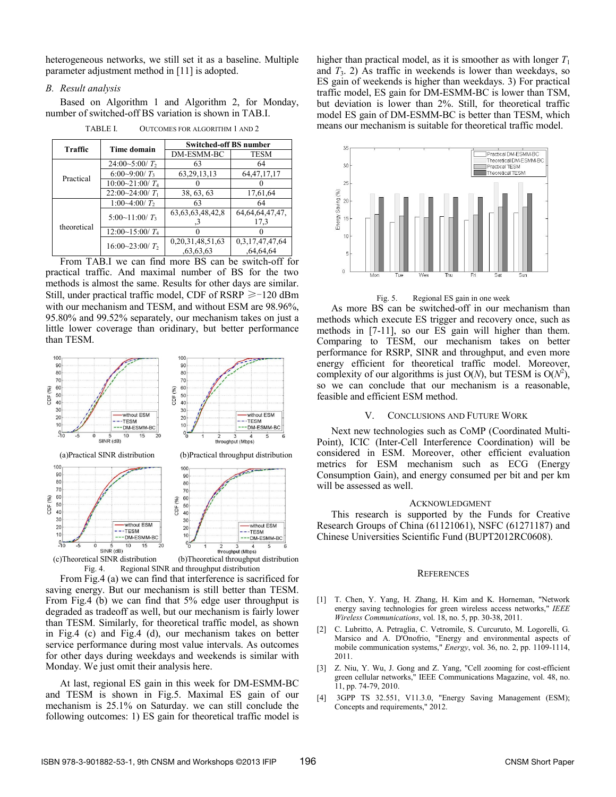heterogeneous networks, we still set it as a baseline. Multiple parameter adjustment method in [11] is adopted.

# *B. Result analysis*

Based on Algorithm 1 and Algorithm 2, for Monday, number of switched-off BS variation is shown in TAB.I.

| Traffic     | <b>Time domain</b>         | <b>Switched-off BS number</b> |                     |  |
|-------------|----------------------------|-------------------------------|---------------------|--|
|             |                            | DM-ESMM-BC                    | <b>TESM</b>         |  |
|             | $24:00~5:00/T_2$           | 63                            | 64                  |  |
| Practical   | $6:00-9:00/T_3$            | 63, 29, 13, 13                | 64, 47, 17, 17      |  |
|             | $10:00~21:00$ / $T_4$      |                               |                     |  |
|             | $22:00~24:00/T_1$          | 38, 63, 63                    | 17,61,64            |  |
|             | $1:00-4:00/T_2$            | 63                            | 64                  |  |
|             | $5:00~11:00$ / $T_3$       | 63, 63, 63, 48, 42, 8         | 64, 64, 64, 47, 47, |  |
| theoretical |                            |                               | 17.3                |  |
|             | $12:00~15:00$ / $T_4$      |                               |                     |  |
|             | 16:00~23:00/T <sub>2</sub> | 0,20,31,48,51,63              | 0,3,17,47,47,64     |  |
|             |                            | ,63,63,63                     | ,64,64,64           |  |

TABLE I. OUTCOMES FOR ALGORITHM 1 AND 2

From TAB.I we can find more BS can be switch-off for practical traffic. And maximal number of BS for the two methods is almost the same. Results for other days are similar. Still, under practical traffic model, CDF of RSRP  $\ge$  -120 dBm with our mechanism and TESM, and without ESM are 98.96%, 95.80% and 99.52% separately, our mechanism takes on just a little lower coverage than oridinary, but better performance than TESM.



Fig. 4. Regional SINR and throughput distribution From Fig.4 (a) we can find that interference is sacrificed for saving energy. But our mechanism is still better than TESM.

From Fig.4 (b) we can find that 5% edge user throughput is degraded as tradeoff as well, but our mechanism is fairly lower than TESM. Similarly, for theoretical traffic model, as shown in Fig.4 (c) and Fig.4 (d), our mechanism takes on better service performance during most value intervals. As outcomes for other days during weekdays and weekends is similar with Monday. We just omit their analysis here.

At last, regional ES gain in this week for DM-ESMM-BC and TESM is shown in Fig.5. Maximal ES gain of our mechanism is 25.1% on Saturday. we can still conclude the following outcomes: 1) ES gain for theoretical traffic model is higher than practical model, as it is smoother as with longer  $T_1$ and  $T_3$ . 2) As traffic in weekends is lower than weekdays, so ES gain of weekends is higher than weekdays. 3) For practical traffic model, ES gain for DM-ESMM-BC is lower than TSM, but deviation is lower than 2%. Still, for theoretical traffic model ES gain of DM-ESMM-BC is better than TESM, which means our mechanism is suitable for theoretical traffic model.



Fig. 5. Regional ES gain in one week

As more BS can be switched-off in our mechanism than methods which execute ES trigger and recovery once, such as methods in [7-11], so our ES gain will higher than them. Comparing to TESM, our mechanism takes on better performance for RSRP, SINR and throughput, and even more energy efficient for theoretical traffic model. Moreover, complexity of our algorithms is just  $O(N)$ , but TESM is  $O(N^2)$ , so we can conclude that our mechanism is a reasonable, feasible and efficient ESM method.

#### V. CONCLUSIONS AND FUTURE WORK

Next new technologies such as CoMP (Coordinated Multi-Point), ICIC (Inter-Cell Interference Coordination) will be considered in ESM. Moreover, other efficient evaluation metrics for ESM mechanism such as ECG (Energy Consumption Gain), and energy consumed per bit and per km will be assessed as well.

# ACKNOWLEDGMENT

This research is supported by the Funds for Creative Research Groups of China (61121061), NSFC (61271187) and Chinese Universities Scientific Fund (BUPT2012RC0608).

#### **REFERENCES**

- [1] T. Chen, Y. Yang, H. Zhang, H. Kim and K. Horneman, "Network energy saving technologies for green wireless access networks," *IEEE Wireless Communications*, vol. 18, no. 5, pp. 30-38, 2011.
- [2] C. Lubritto, A. Petraglia, C. Vetromile, S. Curcuruto, M. Logorelli, G. Marsico and A. D'Onofrio, "Energy and environmental aspects of mobile communication systems," *Energy*, vol. 36, no. 2, pp. 1109-1114, 2011.
- [3] Z. Niu, Y. Wu, J. Gong and Z. Yang, "Cell zooming for cost-efficient green cellular networks," IEEE Communications Magazine, vol. 48, no. 11, pp. 74-79, 2010.
- [4] 3GPP TS 32.551, V11.3.0, "Energy Saving Management (ESM); Concepts and requirements," 2012.